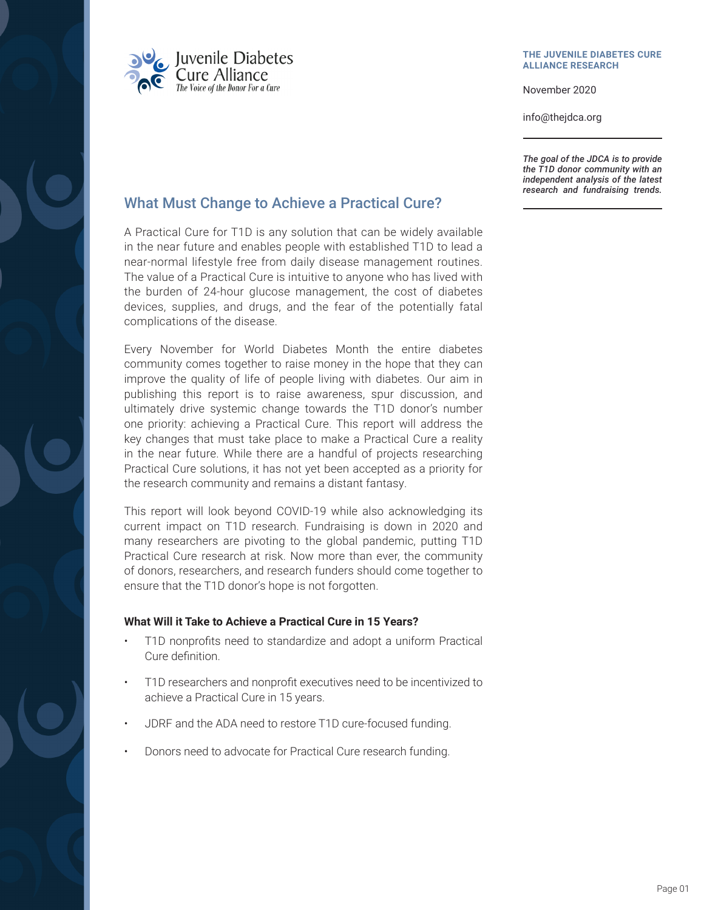

#### **THE JUVENILE DIABETES CURE ALLIANCE RESEARCH**

November 2020

info@thejdca.org

*The goal of the JDCA is to provide the T1D donor community with an independent analysis of the latest research and fundraising trends.*

## What Must Change to Achieve a Practical Cure?

A Practical Cure for T1D is any solution that can be widely available in the near future and enables people with established T1D to lead a near-normal lifestyle free from daily disease management routines. The value of a Practical Cure is intuitive to anyone who has lived with the burden of 24-hour glucose management, the cost of diabetes devices, supplies, and drugs, and the fear of the potentially fatal complications of the disease.

Every November for World Diabetes Month the entire diabetes community comes together to raise money in the hope that they can improve the quality of life of people living with diabetes. Our aim in publishing this report is to raise awareness, spur discussion, and ultimately drive systemic change towards the T1D donor's number one priority: achieving a Practical Cure. This report will address the key changes that must take place to make a Practical Cure a reality in the near future. While there are a handful of projects researching Practical Cure solutions, it has not yet been accepted as a priority for the research community and remains a distant fantasy.

This report will look beyond COVID-19 while also acknowledging its current impact on T1D research. Fundraising is down in 2020 and many researchers are pivoting to the global pandemic, putting T1D Practical Cure research at risk. Now more than ever, the community of donors, researchers, and research funders should come together to ensure that the T1D donor's hope is not forgotten.

## **What Will it Take to Achieve a Practical Cure in 15 Years?**

- T1D nonprofits need to standardize and adopt a uniform Practical Cure definition.
- T1D researchers and nonprofit executives need to be incentivized to achieve a Practical Cure in 15 years.
- JDRF and the ADA need to restore T1D cure-focused funding.
- Donors need to advocate for Practical Cure research funding.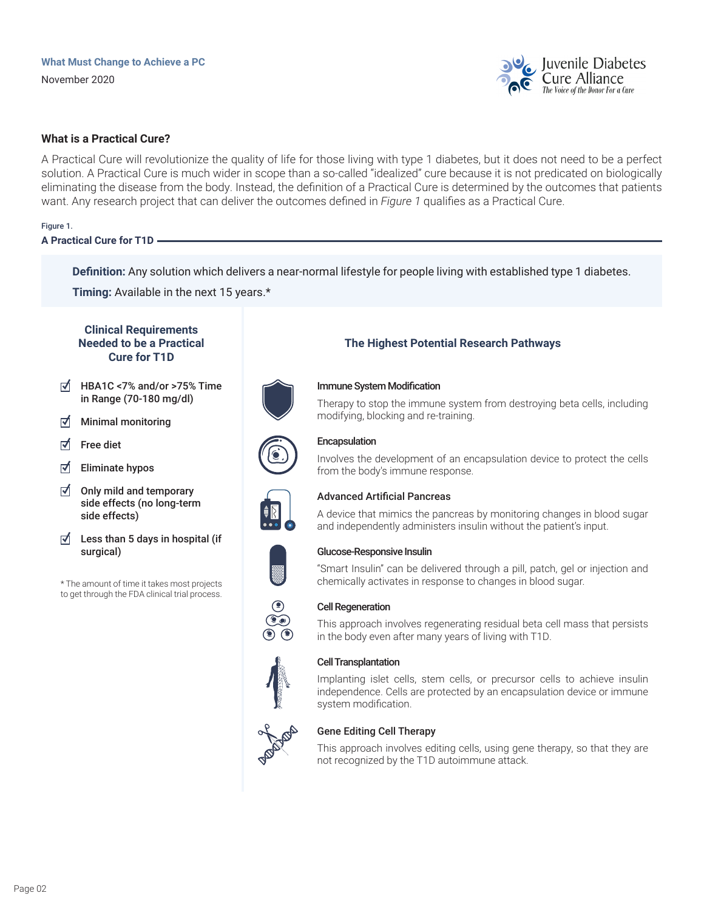

## **What is a Practical Cure?**

A Practical Cure will revolutionize the quality of life for those living with type 1 diabetes, but it does not need to be a perfect solution. A Practical Cure is much wider in scope than a so-called "idealized" cure because it is not predicated on biologically eliminating the disease from the body. Instead, the definition of a Practical Cure is determined by the outcomes that patients want. Any research project that can deliver the outcomes defined in *Figure 1* qualifies as a Practical Cure.

### Figure 1.

**A Practical Cure for T1D**

**Definition:** Any solution which delivers a near-normal lifestyle for people living with established type 1 diabetes.

**Timing:** Available in the next 15 years.\*

## **Clinical Requirements Needed to be a Practical Cure for T1D**

- ⊺√ HBA1C <7% and/or >75% Time in Range (70-180 mg/dl)
- ⊺√ Minimal monitoring
- ⊺√ Free diet
- ⊺√ Eliminate hypos
- ⊺√ Only mild and temporary side effects (no long-term side effects)
- $\triangledown$  Less than 5 days in hospital (if surgical)

\* The amount of time it takes most projects to get through the FDA clinical trial process.



# **The Highest Potential Research Pathways**

## Immune System Modification

Therapy to stop the immune system from destroying beta cells, including modifying, blocking and re-training.



## Encapsulation

Involves the development of an encapsulation device to protect the cells from the body's immune response.

A device that mimics the pancreas by monitoring changes in blood sugar

and independently administers insulin without the patient's input.





## Glucose-Responsive Insulin

Advanced Artificial Pancreas

"Smart Insulin" can be delivered through a pill, patch, gel or injection and chemically activates in response to changes in blood sugar.

## Cell Regeneration

This approach involves regenerating residual beta cell mass that persists in the body even after many years of living with T1D.

#### Cell Transplantation

Implanting islet cells, stem cells, or precursor cells to achieve insulin independence. Cells are protected by an encapsulation device or immune system modification.



#### Gene Editing Cell Therapy

This approach involves editing cells, using gene therapy, so that they are not recognized by the T1D autoimmune attack.